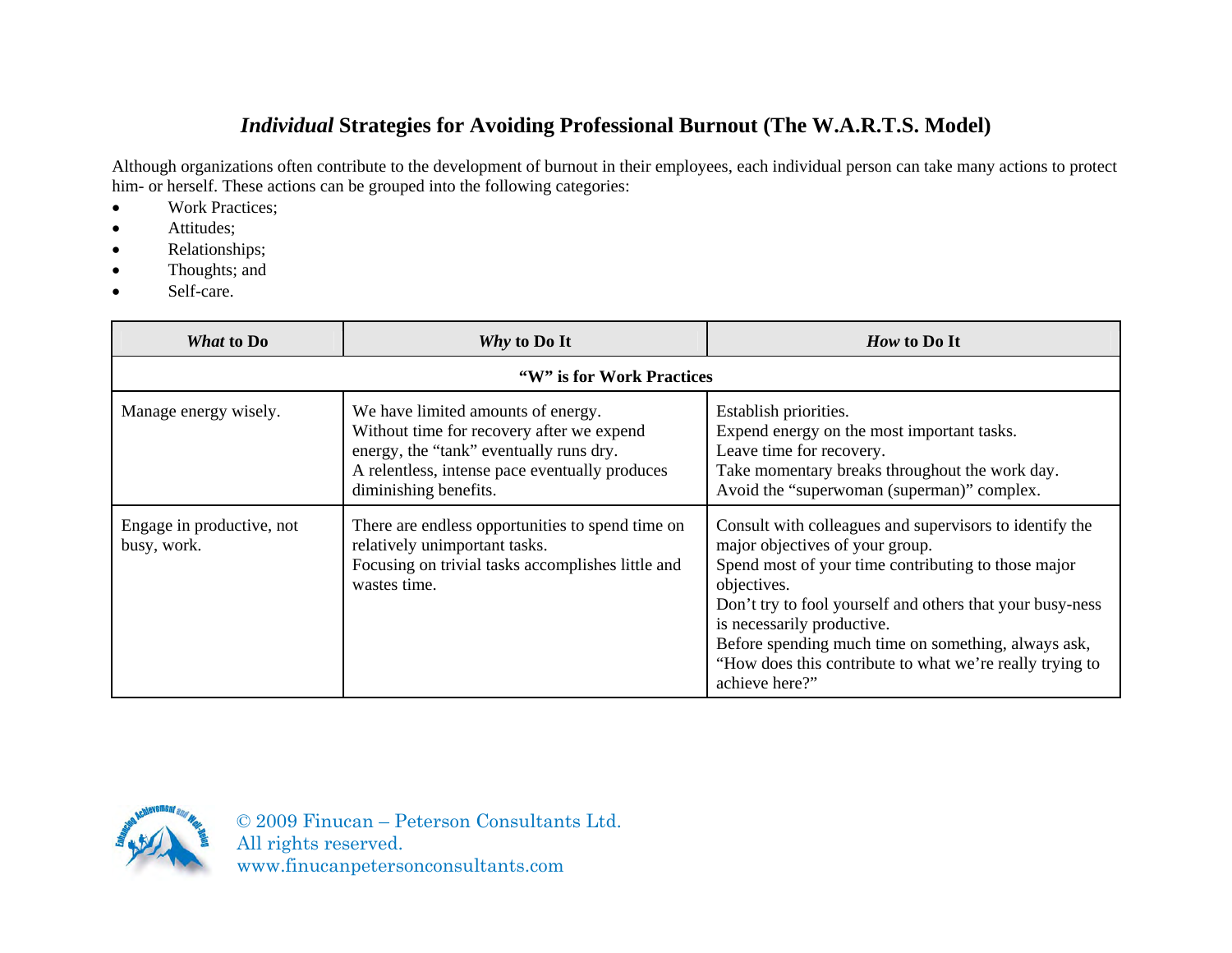## *Individual* **Strategies for Avoiding Professional Burnout (The W.A.R.T.S. Model)**

Although organizations often contribute to the development of burnout in their employees, each individual person can take many actions to protect him- or herself. These actions can be grouped into the following categories:

- Work Practices;
- **Attitudes**;
- Relationships;
- Thoughts; and
- Self-care.

| What to Do                               | Why to Do It                                                                                                                                                                                          | How to Do It                                                                                                                                                                                                                                                                                                                                                                                     |
|------------------------------------------|-------------------------------------------------------------------------------------------------------------------------------------------------------------------------------------------------------|--------------------------------------------------------------------------------------------------------------------------------------------------------------------------------------------------------------------------------------------------------------------------------------------------------------------------------------------------------------------------------------------------|
| "W" is for Work Practices"               |                                                                                                                                                                                                       |                                                                                                                                                                                                                                                                                                                                                                                                  |
| Manage energy wisely.                    | We have limited amounts of energy.<br>Without time for recovery after we expend<br>energy, the "tank" eventually runs dry.<br>A relentless, intense pace eventually produces<br>diminishing benefits. | Establish priorities.<br>Expend energy on the most important tasks.<br>Leave time for recovery.<br>Take momentary breaks throughout the work day.<br>Avoid the "superwoman (superman)" complex.                                                                                                                                                                                                  |
| Engage in productive, not<br>busy, work. | There are endless opportunities to spend time on<br>relatively unimportant tasks.<br>Focusing on trivial tasks accomplishes little and<br>wastes time.                                                | Consult with colleagues and supervisors to identify the<br>major objectives of your group.<br>Spend most of your time contributing to those major<br>objectives.<br>Don't try to fool yourself and others that your busy-ness<br>is necessarily productive.<br>Before spending much time on something, always ask,<br>"How does this contribute to what we're really trying to<br>achieve here?" |

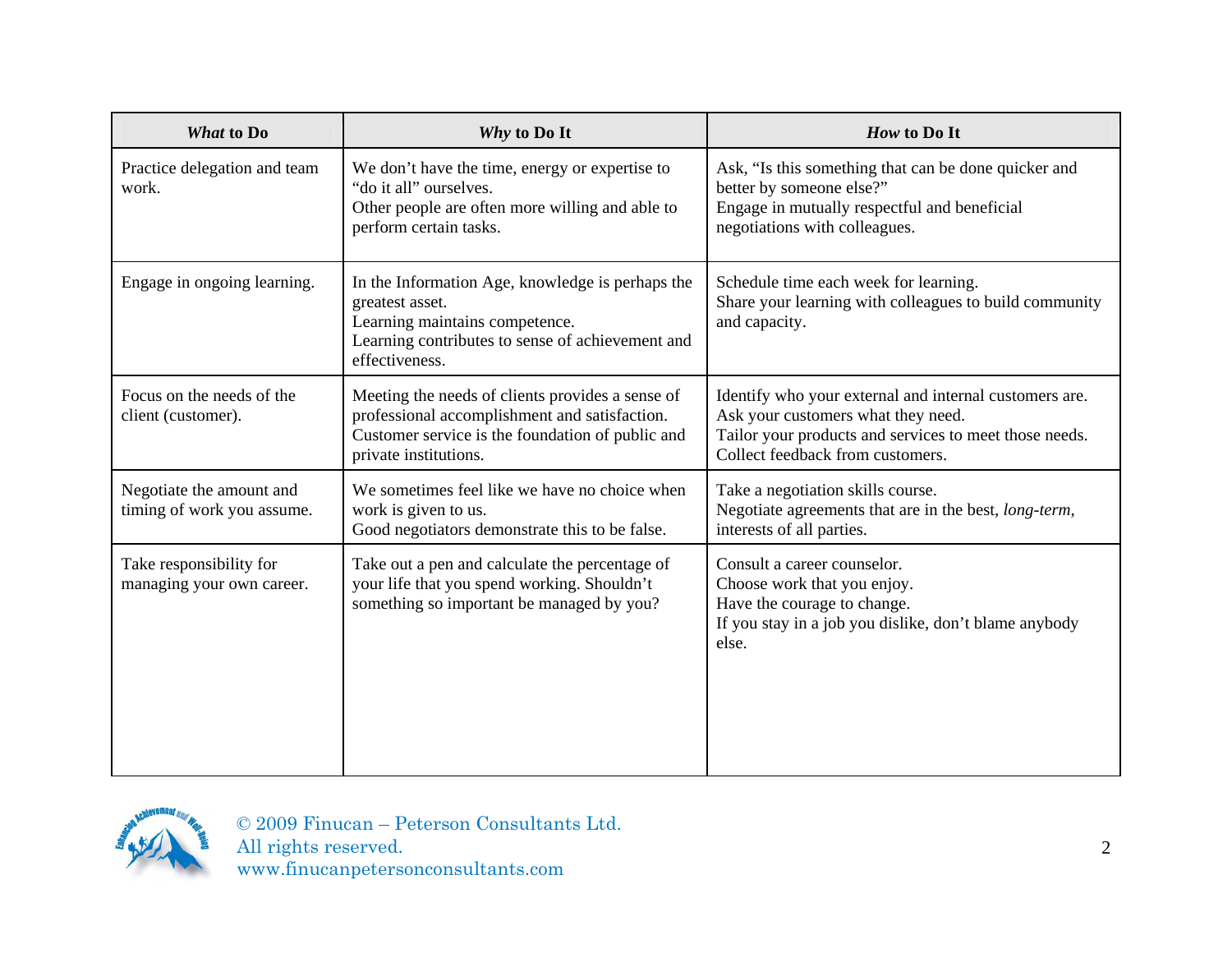| <b>What to Do</b>                                      | Why to Do It                                                                                                                                                                   | How to Do It                                                                                                                                                                               |
|--------------------------------------------------------|--------------------------------------------------------------------------------------------------------------------------------------------------------------------------------|--------------------------------------------------------------------------------------------------------------------------------------------------------------------------------------------|
| Practice delegation and team<br>work.                  | We don't have the time, energy or expertise to<br>"do it all" ourselves.<br>Other people are often more willing and able to<br>perform certain tasks.                          | Ask, "Is this something that can be done quicker and<br>better by someone else?"<br>Engage in mutually respectful and beneficial<br>negotiations with colleagues.                          |
| Engage in ongoing learning.                            | In the Information Age, knowledge is perhaps the<br>greatest asset.<br>Learning maintains competence.<br>Learning contributes to sense of achievement and<br>effectiveness.    | Schedule time each week for learning.<br>Share your learning with colleagues to build community<br>and capacity.                                                                           |
| Focus on the needs of the<br>client (customer).        | Meeting the needs of clients provides a sense of<br>professional accomplishment and satisfaction.<br>Customer service is the foundation of public and<br>private institutions. | Identify who your external and internal customers are.<br>Ask your customers what they need.<br>Tailor your products and services to meet those needs.<br>Collect feedback from customers. |
| Negotiate the amount and<br>timing of work you assume. | We sometimes feel like we have no choice when<br>work is given to us.<br>Good negotiators demonstrate this to be false.                                                        | Take a negotiation skills course.<br>Negotiate agreements that are in the best, long-term,<br>interests of all parties.                                                                    |
| Take responsibility for<br>managing your own career.   | Take out a pen and calculate the percentage of<br>your life that you spend working. Shouldn't<br>something so important be managed by you?                                     | Consult a career counselor.<br>Choose work that you enjoy.<br>Have the courage to change.<br>If you stay in a job you dislike, don't blame anybody<br>else.                                |

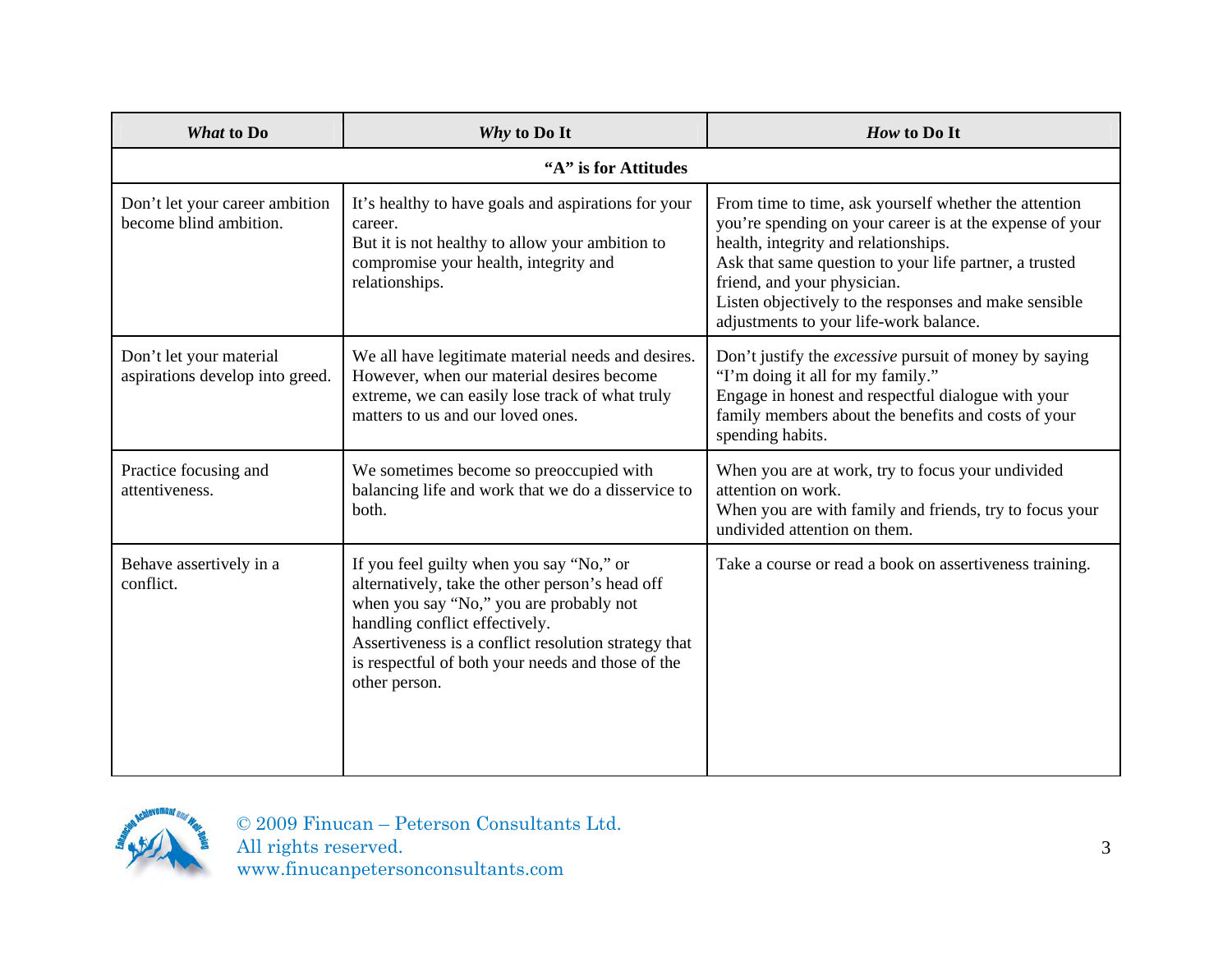| <b>What to Do</b>                                          | Why to Do It                                                                                                                                                                                                                                                                                           | How to Do It                                                                                                                                                                                                                                                                                                                                          |
|------------------------------------------------------------|--------------------------------------------------------------------------------------------------------------------------------------------------------------------------------------------------------------------------------------------------------------------------------------------------------|-------------------------------------------------------------------------------------------------------------------------------------------------------------------------------------------------------------------------------------------------------------------------------------------------------------------------------------------------------|
|                                                            | "A" is for Attitudes                                                                                                                                                                                                                                                                                   |                                                                                                                                                                                                                                                                                                                                                       |
| Don't let your career ambition<br>become blind ambition.   | It's healthy to have goals and aspirations for your<br>career.<br>But it is not healthy to allow your ambition to<br>compromise your health, integrity and<br>relationships.                                                                                                                           | From time to time, ask yourself whether the attention<br>you're spending on your career is at the expense of your<br>health, integrity and relationships.<br>Ask that same question to your life partner, a trusted<br>friend, and your physician.<br>Listen objectively to the responses and make sensible<br>adjustments to your life-work balance. |
| Don't let your material<br>aspirations develop into greed. | We all have legitimate material needs and desires.<br>However, when our material desires become<br>extreme, we can easily lose track of what truly<br>matters to us and our loved ones.                                                                                                                | Don't justify the <i>excessive</i> pursuit of money by saying<br>"I'm doing it all for my family."<br>Engage in honest and respectful dialogue with your<br>family members about the benefits and costs of your<br>spending habits.                                                                                                                   |
| Practice focusing and<br>attentiveness.                    | We sometimes become so preoccupied with<br>balancing life and work that we do a disservice to<br>both.                                                                                                                                                                                                 | When you are at work, try to focus your undivided<br>attention on work.<br>When you are with family and friends, try to focus your<br>undivided attention on them.                                                                                                                                                                                    |
| Behave assertively in a<br>conflict.                       | If you feel guilty when you say "No," or<br>alternatively, take the other person's head off<br>when you say "No," you are probably not<br>handling conflict effectively.<br>Assertiveness is a conflict resolution strategy that<br>is respectful of both your needs and those of the<br>other person. | Take a course or read a book on assertiveness training.                                                                                                                                                                                                                                                                                               |

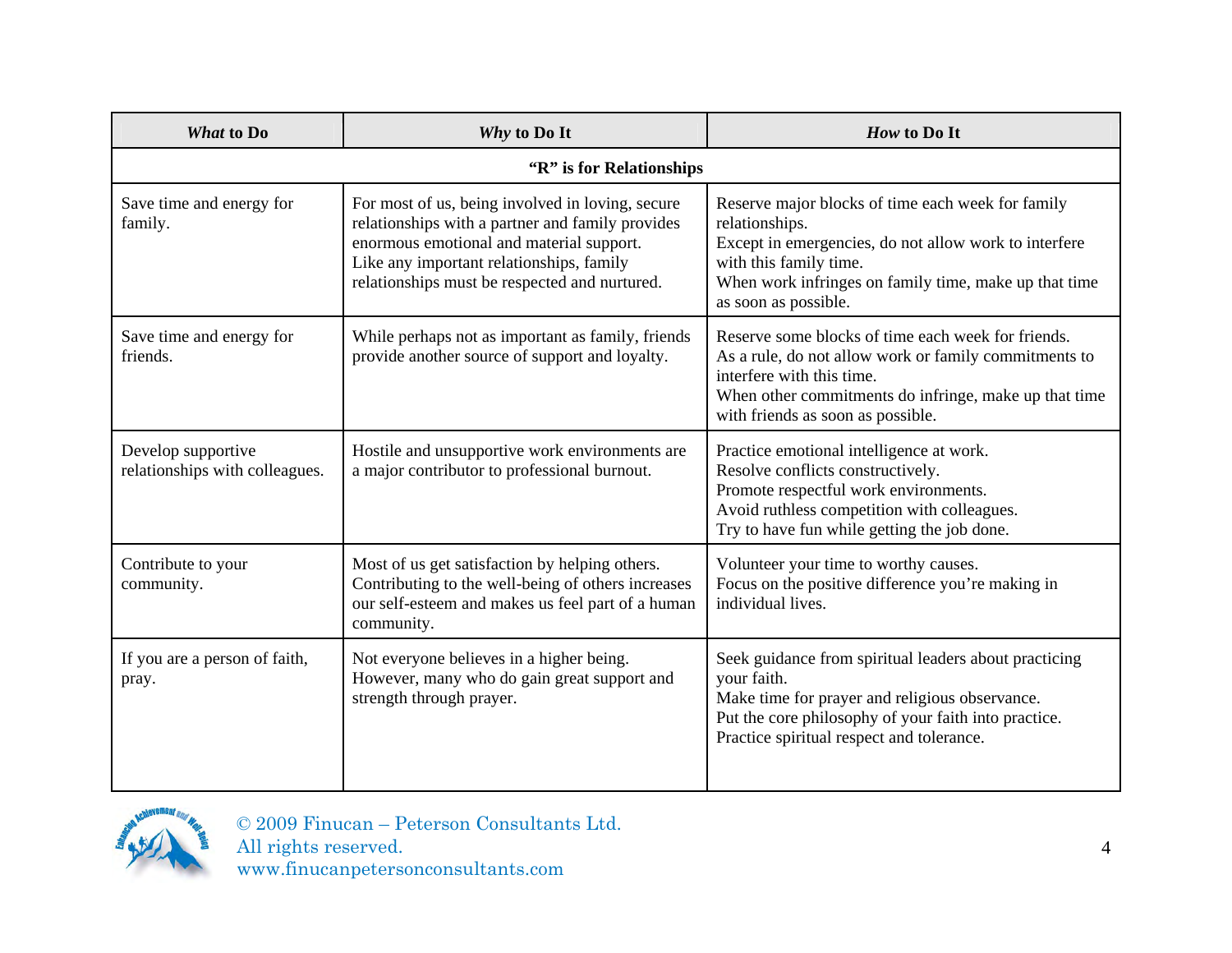| What to Do                                           | Why to Do It                                                                                                                                                                                                                                  | How to Do It                                                                                                                                                                                                                            |  |
|------------------------------------------------------|-----------------------------------------------------------------------------------------------------------------------------------------------------------------------------------------------------------------------------------------------|-----------------------------------------------------------------------------------------------------------------------------------------------------------------------------------------------------------------------------------------|--|
| "R" is for Relationships                             |                                                                                                                                                                                                                                               |                                                                                                                                                                                                                                         |  |
| Save time and energy for<br>family.                  | For most of us, being involved in loving, secure<br>relationships with a partner and family provides<br>enormous emotional and material support.<br>Like any important relationships, family<br>relationships must be respected and nurtured. | Reserve major blocks of time each week for family<br>relationships.<br>Except in emergencies, do not allow work to interfere<br>with this family time.<br>When work infringes on family time, make up that time<br>as soon as possible. |  |
| Save time and energy for<br>friends.                 | While perhaps not as important as family, friends<br>provide another source of support and loyalty.                                                                                                                                           | Reserve some blocks of time each week for friends.<br>As a rule, do not allow work or family commitments to<br>interfere with this time.<br>When other commitments do infringe, make up that time<br>with friends as soon as possible.  |  |
| Develop supportive<br>relationships with colleagues. | Hostile and unsupportive work environments are<br>a major contributor to professional burnout.                                                                                                                                                | Practice emotional intelligence at work.<br>Resolve conflicts constructively.<br>Promote respectful work environments.<br>Avoid ruthless competition with colleagues.<br>Try to have fun while getting the job done.                    |  |
| Contribute to your<br>community.                     | Most of us get satisfaction by helping others.<br>Contributing to the well-being of others increases<br>our self-esteem and makes us feel part of a human<br>community.                                                                       | Volunteer your time to worthy causes.<br>Focus on the positive difference you're making in<br>individual lives.                                                                                                                         |  |
| If you are a person of faith,<br>pray.               | Not everyone believes in a higher being.<br>However, many who do gain great support and<br>strength through prayer.                                                                                                                           | Seek guidance from spiritual leaders about practicing<br>your faith.<br>Make time for prayer and religious observance.<br>Put the core philosophy of your faith into practice.<br>Practice spiritual respect and tolerance.             |  |

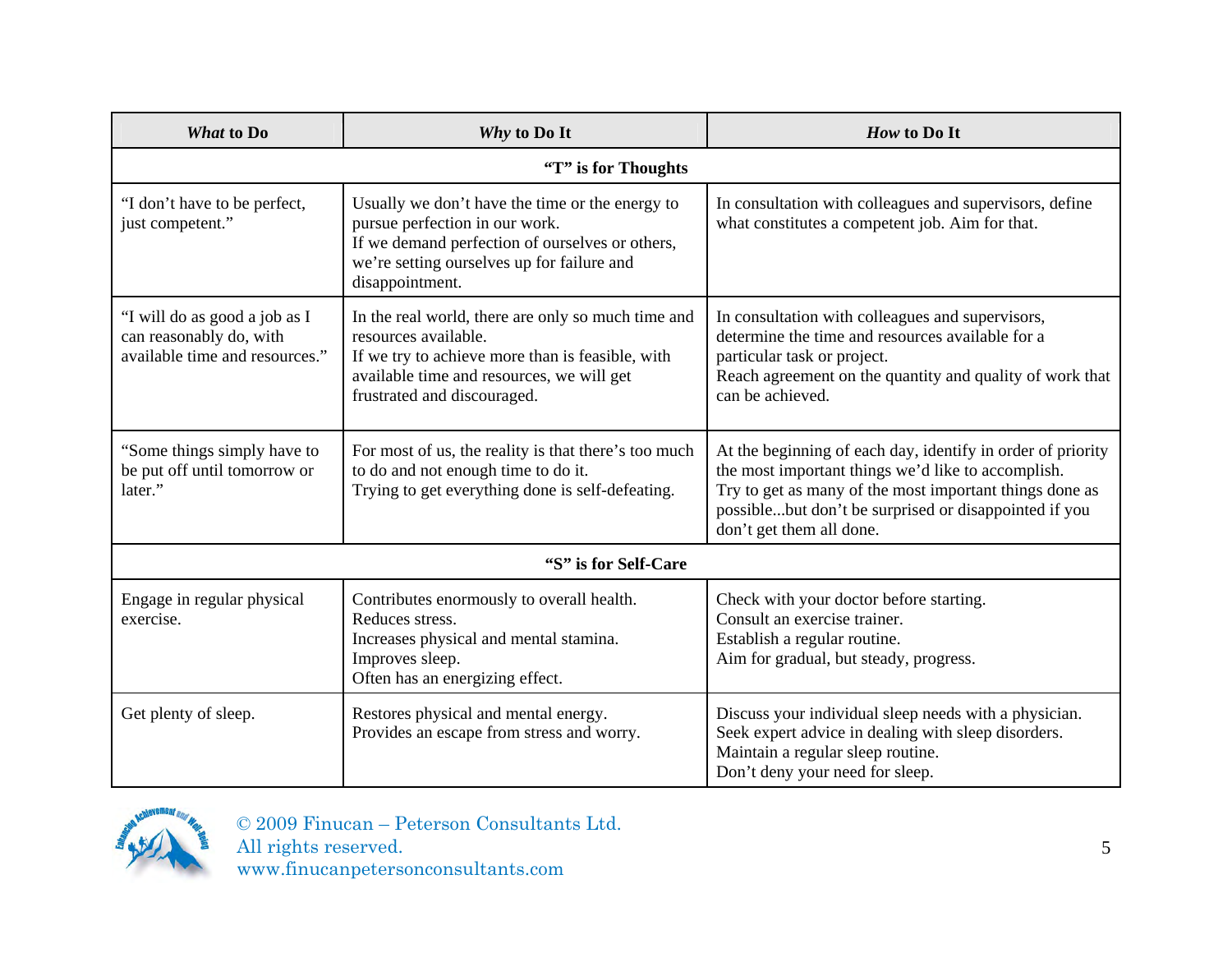| <b>What to Do</b>                                                                          | Why to Do It                                                                                                                                                                                               | How to Do It                                                                                                                                                                                                                                                      |  |
|--------------------------------------------------------------------------------------------|------------------------------------------------------------------------------------------------------------------------------------------------------------------------------------------------------------|-------------------------------------------------------------------------------------------------------------------------------------------------------------------------------------------------------------------------------------------------------------------|--|
| "T" is for Thoughts                                                                        |                                                                                                                                                                                                            |                                                                                                                                                                                                                                                                   |  |
| "I don't have to be perfect,<br>just competent."                                           | Usually we don't have the time or the energy to<br>pursue perfection in our work.<br>If we demand perfection of ourselves or others,<br>we're setting ourselves up for failure and<br>disappointment.      | In consultation with colleagues and supervisors, define<br>what constitutes a competent job. Aim for that.                                                                                                                                                        |  |
| "I will do as good a job as I<br>can reasonably do, with<br>available time and resources." | In the real world, there are only so much time and<br>resources available.<br>If we try to achieve more than is feasible, with<br>available time and resources, we will get<br>frustrated and discouraged. | In consultation with colleagues and supervisors,<br>determine the time and resources available for a<br>particular task or project.<br>Reach agreement on the quantity and quality of work that<br>can be achieved.                                               |  |
| "Some things simply have to<br>be put off until tomorrow or<br>later."                     | For most of us, the reality is that there's too much<br>to do and not enough time to do it.<br>Trying to get everything done is self-defeating.                                                            | At the beginning of each day, identify in order of priority<br>the most important things we'd like to accomplish.<br>Try to get as many of the most important things done as<br>possiblebut don't be surprised or disappointed if you<br>don't get them all done. |  |
| "S" is for Self-Care                                                                       |                                                                                                                                                                                                            |                                                                                                                                                                                                                                                                   |  |
| Engage in regular physical<br>exercise.                                                    | Contributes enormously to overall health.<br>Reduces stress.<br>Increases physical and mental stamina.<br>Improves sleep.<br>Often has an energizing effect.                                               | Check with your doctor before starting.<br>Consult an exercise trainer.<br>Establish a regular routine.<br>Aim for gradual, but steady, progress.                                                                                                                 |  |
| Get plenty of sleep.                                                                       | Restores physical and mental energy.<br>Provides an escape from stress and worry.                                                                                                                          | Discuss your individual sleep needs with a physician.<br>Seek expert advice in dealing with sleep disorders.<br>Maintain a regular sleep routine.<br>Don't deny your need for sleep.                                                                              |  |